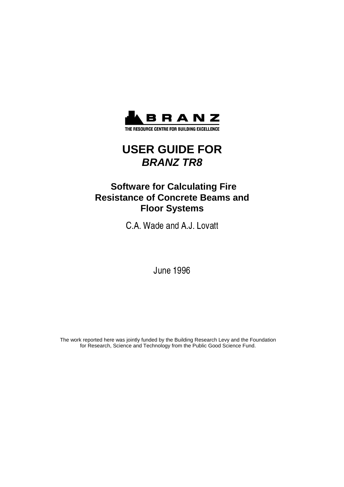

THE RESOURCE CENTRE FOR BUILDING EXCELLENCE

# **USER GUIDE FOR BRANZ TR8**

# **Software for Calculating Fire Resistance of Concrete Beams and Floor Systems**

- - 

**June 1996** 

The work reported here was jointly funded by the Building Research Levy and the Foundation for Research, Science and Technology from the Public Good Science Fund.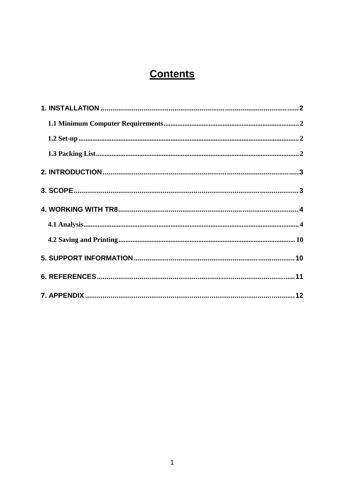# **Contents**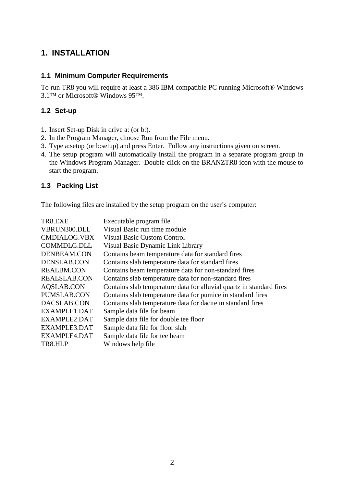## **1. INSTALLATION**

#### **1.1 Minimum Computer Requirements**

To run TR8 you will require at least a 386 IBM compatible PC running Microsoft® Windows 3.1™ or Microsoft® Windows 95™.

### **1.2 Set-up**

- 1. Insert Set-up Disk in drive a: (or b:).
- 2. In the Program Manager, choose Run from the File menu.
- 3. Type a:setup (or b:setup) and press Enter. Follow any instructions given on screen.
- 4. The setup program will automatically install the program in a separate program group in the Windows Program Manager. Double-click on the BRANZTR8 icon with the mouse to start the program.

### **1.3 Packing List**

The following files are installed by the setup program on the user's computer:

| TR8.EXE             | Executable program file                                              |
|---------------------|----------------------------------------------------------------------|
| VBRUN300.DLL        | Visual Basic run time module                                         |
| <b>CMDIALOG.VBX</b> | <b>Visual Basic Custom Control</b>                                   |
| COMMDLG.DLL         | Visual Basic Dynamic Link Library                                    |
| DENBEAM.CON         | Contains beam temperature data for standard fires                    |
| DENSLAB.CON         | Contains slab temperature data for standard fires                    |
| <b>REALBM.CON</b>   | Contains beam temperature data for non-standard fires                |
| <b>REALSLAB.CON</b> | Contains slab temperature data for non-standard fires                |
| <b>AQSLAB.CON</b>   | Contains slab temperature data for alluvial quartz in standard fires |
| PUMSLAB.CON         | Contains slab temperature data for pumice in standard fires          |
| DACSLAB.CON         | Contains slab temperature data for dacite in standard fires          |
| EXAMPLE1.DAT        | Sample data file for beam                                            |
| EXAMPLE2.DAT        | Sample data file for double tee floor                                |
| EXAMPLE3.DAT        | Sample data file for floor slab                                      |
| EXAMPLE4.DAT        | Sample data file for tee beam                                        |
| TR8.HLP             | Windows help file                                                    |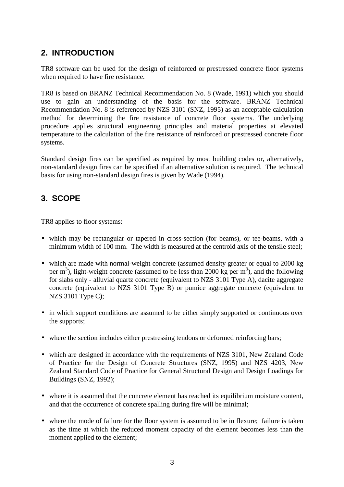## **2. INTRODUCTION**

TR8 software can be used for the design of reinforced or prestressed concrete floor systems when required to have fire resistance.

TR8 is based on BRANZ Technical Recommendation No. 8 (Wade, 1991) which you should use to gain an understanding of the basis for the software. BRANZ Technical Recommendation No. 8 is referenced by NZS 3101 (SNZ, 1995) as an acceptable calculation method for determining the fire resistance of concrete floor systems. The underlying procedure applies structural engineering principles and material properties at elevated temperature to the calculation of the fire resistance of reinforced or prestressed concrete floor systems.

Standard design fires can be specified as required by most building codes or, alternatively, non-standard design fires can be specified if an alternative solution is required. The technical basis for using non-standard design fires is given by Wade (1994).

## **3. SCOPE**

TR8 applies to floor systems:

- which may be rectangular or tapered in cross-section (for beams), or tee-beams, with a minimum width of 100 mm. The width is measured at the centroid axis of the tensile steel;
- which are made with normal-weight concrete (assumed density greater or equal to 2000 kg) per  $m<sup>3</sup>$ ), light-weight concrete (assumed to be less than 2000 kg per  $m<sup>3</sup>$ ), and the following for slabs only - alluvial quartz concrete (equivalent to NZS 3101 Type A), dacite aggregate concrete (equivalent to NZS 3101 Type B) or pumice aggregate concrete (equivalent to NZS 3101 Type C);
- in which support conditions are assumed to be either simply supported or continuous over the supports;
- where the section includes either prestressing tendons or deformed reinforcing bars;
- which are designed in accordance with the requirements of NZS 3101, New Zealand Code of Practice for the Design of Concrete Structures (SNZ, 1995) and NZS 4203, New Zealand Standard Code of Practice for General Structural Design and Design Loadings for Buildings (SNZ, 1992);
- where it is assumed that the concrete element has reached its equilibrium moisture content, and that the occurrence of concrete spalling during fire will be minimal;
- where the mode of failure for the floor system is assumed to be in flexure; failure is taken as the time at which the reduced moment capacity of the element becomes less than the moment applied to the element;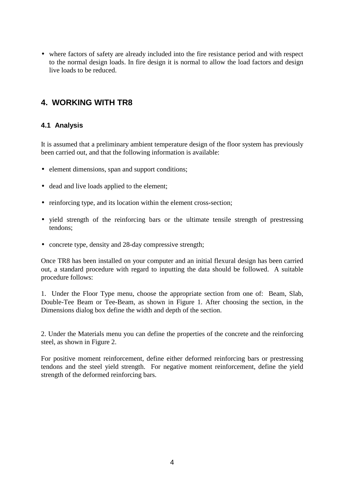• where factors of safety are already included into the fire resistance period and with respect to the normal design loads. In fire design it is normal to allow the load factors and design live loads to be reduced.

## **4. WORKING WITH TR8**

#### **4.1 Analysis**

It is assumed that a preliminary ambient temperature design of the floor system has previously been carried out, and that the following information is available:

- element dimensions, span and support conditions;
- dead and live loads applied to the element;
- reinforcing type, and its location within the element cross-section;
- yield strength of the reinforcing bars or the ultimate tensile strength of prestressing tendons;
- concrete type, density and 28-day compressive strength;

Once TR8 has been installed on your computer and an initial flexural design has been carried out, a standard procedure with regard to inputting the data should be followed. A suitable procedure follows:

1. Under the Floor Type menu, choose the appropriate section from one of: Beam, Slab, Double-Tee Beam or Tee-Beam, as shown in Figure 1. After choosing the section, in the Dimensions dialog box define the width and depth of the section.

2. Under the Materials menu you can define the properties of the concrete and the reinforcing steel, as shown in Figure 2.

For positive moment reinforcement, define either deformed reinforcing bars or prestressing tendons and the steel yield strength. For negative moment reinforcement, define the yield strength of the deformed reinforcing bars.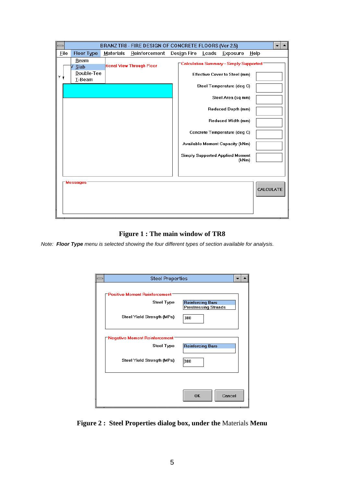|   | BRANZ TR8 - FIRE DESIGN OF CONCRETE FLOORS (Ver 2.5) |                        |           |                           |  |             |  |                                                 |                  |  |
|---|------------------------------------------------------|------------------------|-----------|---------------------------|--|-------------|--|-------------------------------------------------|------------------|--|
|   | Eile                                                 | Floor Type             | Materials | Reinforcement             |  | Design Fire |  | Loads Exposure                                  | $He$ lp          |  |
|   |                                                      | Beam<br>√ <u>S</u> lab |           | tional View Through Floor |  |             |  | Calculation Summary - Simply Supported          |                  |  |
| Υ |                                                      | Double-Tee<br>I-Beam   |           |                           |  |             |  | Effective Cover to Steel (mm)                   |                  |  |
|   |                                                      |                        |           |                           |  |             |  | Steel Temperature (deq C)                       |                  |  |
|   |                                                      |                        |           |                           |  |             |  | Steel Area (sq mm)                              |                  |  |
|   |                                                      |                        |           |                           |  |             |  | Reduced Depth (mm)                              |                  |  |
|   |                                                      |                        |           |                           |  |             |  | Reduced Width (mm)                              |                  |  |
|   |                                                      |                        |           |                           |  |             |  | Concrete Temperature (deq C)                    |                  |  |
|   |                                                      |                        |           |                           |  |             |  | Available Moment Capacity (kNm)                 |                  |  |
|   |                                                      |                        |           |                           |  |             |  | <b>Simply Supported Applied Moment</b><br>(kNm) |                  |  |
|   |                                                      |                        |           |                           |  |             |  |                                                 |                  |  |
|   |                                                      | <b>Messages</b>        |           |                           |  |             |  |                                                 |                  |  |
|   |                                                      |                        |           |                           |  |             |  |                                                 | <b>CALCULATE</b> |  |
|   |                                                      |                        |           |                           |  |             |  |                                                 |                  |  |
|   |                                                      |                        |           |                           |  |             |  |                                                 |                  |  |

**Figure 1 : The main window of TR8**

Note: **Floor Type** menu is selected showing the four different types of section available for analysis.

| <b>Steel Properties</b>              |                             |
|--------------------------------------|-----------------------------|
|                                      |                             |
| <b>Positive Moment Reinforcement</b> |                             |
| <b>Steel Type</b>                    | Reinforcing Bars            |
|                                      | <b>Prestressing Strands</b> |
| Steel Yield Strength (MPa)           | 300                         |
| Negative Moment Reinforcement        |                             |
| <b>Steel Type</b>                    | <b>Reinforcing Bars</b>     |
| Steel Yield Strength (MPa)           | 300                         |
|                                      |                             |
|                                      | <b>OK</b><br>Cancel         |

**Figure 2 : Steel Properties dialog box, under the** Materials **Menu**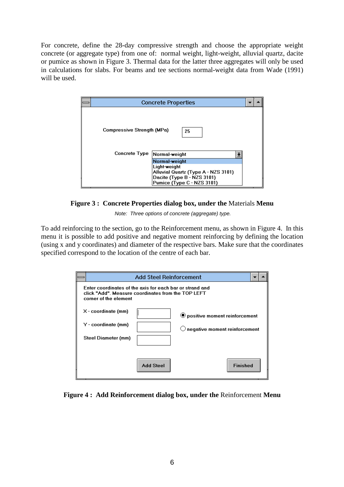For concrete, define the 28-day compressive strength and choose the appropriate weight concrete (or aggregate type) from one of: normal weight, light-weight, alluvial quartz, dacite or pumice as shown in Figure 3. Thermal data for the latter three aggregates will only be used in calculations for slabs. For beams and tee sections normal-weight data from Wade (1991) will be used.

|                                                    | <b>Concrete Properties</b>                                                                                                       |  |  |  |  |  |  |
|----------------------------------------------------|----------------------------------------------------------------------------------------------------------------------------------|--|--|--|--|--|--|
| Compressive Strength (MPa)<br><b>Concrete Type</b> | 25<br>Normal-weight                                                                                                              |  |  |  |  |  |  |
|                                                    | Normal-weight<br>Light-weight<br>Alluvial Quartz (Type A - NZS 3101)<br>Dacite (Type B - NZS 3101)<br>Pumice (Type C - NZS 3101) |  |  |  |  |  |  |

**Figure 3 : Concrete Properties dialog box, under the** Materials **Menu**

Note: Three options of concrete (aggregate) type.

To add reinforcing to the section, go to the Reinforcement menu, as shown in Figure 4. In this menu it is possible to add positive and negative moment reinforcing by defining the location (using x and y coordinates) and diameter of the respective bars. Make sure that the coordinates specified correspond to the location of the centre of each bar.

|                                                                                                                                         | <b>Add Steel Reinforcement</b> |                 |  |  |  |  |  |  |
|-----------------------------------------------------------------------------------------------------------------------------------------|--------------------------------|-----------------|--|--|--|--|--|--|
| Enter coordinates of the axis for each bar or strand and<br>click "Add". Measure coordinates from the TOP LEFT<br>corner of the element |                                |                 |  |  |  |  |  |  |
| X - coordinate (mm)<br>◉ positive moment reinforcement                                                                                  |                                |                 |  |  |  |  |  |  |
| Y - coordinate (mm)<br>$\bigcirc$ negative moment reinforcement                                                                         |                                |                 |  |  |  |  |  |  |
| Steel Diameter (mm)                                                                                                                     |                                |                 |  |  |  |  |  |  |
|                                                                                                                                         | Add Steel                      | <b>Finished</b> |  |  |  |  |  |  |

#### **Figure 4 : Add Reinforcement dialog box, under the** Reinforcement **Menu**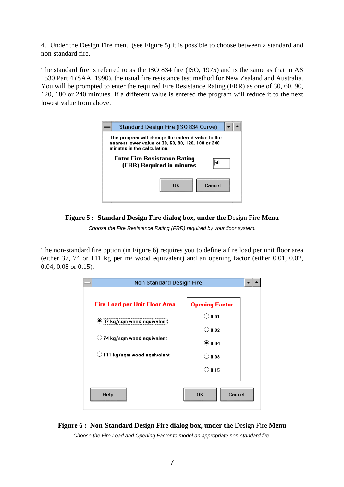4. Under the Design Fire menu (see Figure 5) it is possible to choose between a standard and non-standard fire.

The standard fire is referred to as the ISO 834 fire (ISO, 1975) and is the same as that in AS 1530 Part 4 (SAA, 1990), the usual fire resistance test method for New Zealand and Australia. You will be prompted to enter the required Fire Resistance Rating (FRR) as one of 30, 60, 90, 120, 180 or 240 minutes. If a different value is entered the program will reduce it to the next lowest value from above.







The non-standard fire option (in Figure 6) requires you to define a fire load per unit floor area (either 37, 74 or 111 kg per m² wood equivalent) and an opening factor (either 0.01, 0.02, 0.04, 0.08 or 0.15).





Choose the Fire Load and Opening Factor to model an appropriate non-standard fire.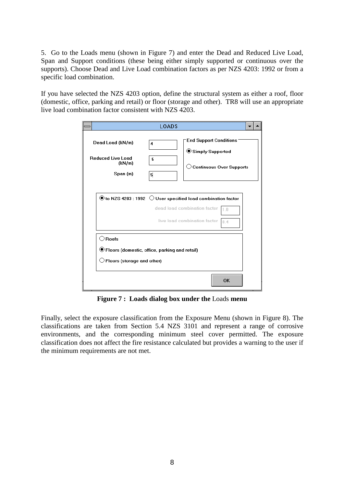5. Go to the Loads menu (shown in Figure 7) and enter the Dead and Reduced Live Load, Span and Support conditions (these being either simply supported or continuous over the supports). Choose Dead and Live Load combination factors as per NZS 4203: 1992 or from a specific load combination.

If you have selected the NZS 4203 option, define the structural system as either a roof, floor (domestic, office, parking and retail) or floor (storage and other). TR8 will use an appropriate live load combination factor consistent with NZS 4203.

|                                                                    | <b>LOADS</b>                                                                                                                                                                                  |
|--------------------------------------------------------------------|-----------------------------------------------------------------------------------------------------------------------------------------------------------------------------------------------|
| Dead Load (kN/m)<br><b>Reduced Live Load</b><br>(kN/m)<br>Span (m) | <b>End Support Conditions</b><br>$\blacktriangleleft$<br>Simply Supported<br>5<br>$\bigcirc$ Continuous Over Supports<br>5                                                                    |
|                                                                    | $\textcircled{\small{\bullet}}$ to NZS 4203 : 1992 $\,\circlearrowright$ User specified load combination factor<br>dead load combination factor<br>1.0<br>live load combination factor<br>0.4 |
| $\bigcirc$ Roofs<br>$\cup$ Floors (storage and other)              | ◉ Floors (domestic, office, parking and retail)<br>OK                                                                                                                                         |

**Figure 7 : Loads dialog box under the** Loads **menu**

Finally, select the exposure classification from the Exposure Menu (shown in Figure 8). The classifications are taken from Section 5.4 NZS 3101 and represent a range of corrosive environments, and the corresponding minimum steel cover permitted. The exposure classification does not affect the fire resistance calculated but provides a warning to the user if the minimum requirements are not met.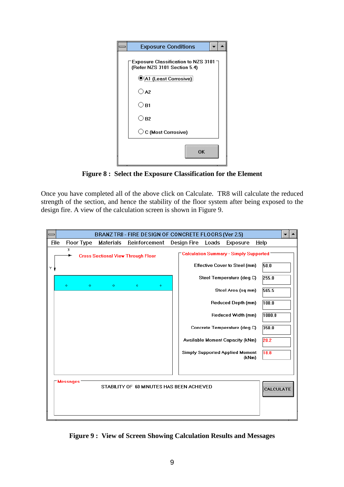| <b>Exposure Conditions</b>                                                  |  |
|-----------------------------------------------------------------------------|--|
| Exposure Classification to NZS 3101 $\lnot$<br>(Refer NZS 3101 Section 5.4) |  |
| <b>OA1</b> (Least Corrosive)                                                |  |
| $\bigcirc$ A2                                                               |  |
| ○в1                                                                         |  |
| ○в2                                                                         |  |
| ◯ C (Most Corrosive)                                                        |  |
| OK                                                                          |  |

**Figure 8 : Select the Exposure Classification for the Element**

Once you have completed all of the above click on Calculate. TR8 will calculate the reduced strength of the section, and hence the stability of the floor system after being exposed to the design fire. A view of the calculation screen is shown in Figure 9.

|      | BRANZ TR8 - FIRE DESIGN OF CONCRETE FLOORS (Ver 2.5) |   |           |                                           |                                                               |  |
|------|------------------------------------------------------|---|-----------|-------------------------------------------|---------------------------------------------------------------|--|
| Eile | Floor Type                                           |   | Materials | Reinforcement                             | Design Fire<br>Loads<br>$He$ lp<br>Exposure                   |  |
|      | х                                                    |   |           | <b>Cross Sectional View Through Floor</b> | -Calculation Summary - Simply Supported                       |  |
| Υ    |                                                      |   |           |                                           | 50.0<br><b>Effective Cover to Steel (mm)</b>                  |  |
|      | ۰                                                    | ö | ö         | $\bullet$<br>۰                            | Steel Temperature (deg C)<br>255.0                            |  |
|      |                                                      |   |           |                                           | Steel Area (sq mm)<br>565.5                                   |  |
|      |                                                      |   |           |                                           | <b>Reduced Depth (mm)</b><br>100.0                            |  |
|      |                                                      |   |           |                                           | 1000.0<br>Reduced Width (mm)                                  |  |
|      |                                                      |   |           |                                           | Concrete Temperature (deq C)<br>350.0                         |  |
|      |                                                      |   |           |                                           | Available Moment Capacity (kNm)<br>20.2                       |  |
|      |                                                      |   |           |                                           | <b>Simply Supported Applied Moment</b><br>18.8<br>(kNm)       |  |
|      |                                                      |   |           |                                           |                                                               |  |
|      | <b>Messages</b>                                      |   |           |                                           |                                                               |  |
|      |                                                      |   |           |                                           | STABILITY OF 60 MINUTES HAS BEEN ACHIEVED<br><b>CALCULATE</b> |  |
|      |                                                      |   |           |                                           |                                                               |  |
|      |                                                      |   |           |                                           |                                                               |  |

**Figure 9 : View of Screen Showing Calculation Results and Messages**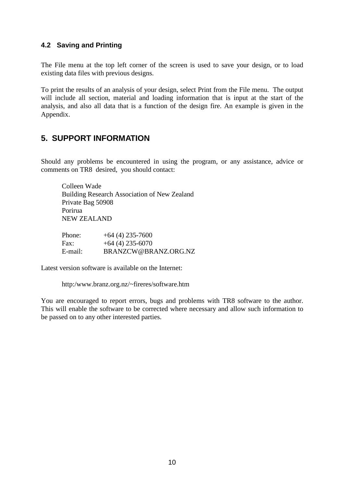#### **4.2 Saving and Printing**

The File menu at the top left corner of the screen is used to save your design, or to load existing data files with previous designs.

To print the results of an analysis of your design, select Print from the File menu. The output will include all section, material and loading information that is input at the start of the analysis, and also all data that is a function of the design fire. An example is given in the Appendix.

## **5. SUPPORT INFORMATION**

Should any problems be encountered in using the program, or any assistance, advice or comments on TR8 desired, you should contact:

Colleen Wade Building Research Association of New Zealand Private Bag 50908 Porirua NEW ZEALAND

| Phone:  | $+64(4)$ 235-7600    |
|---------|----------------------|
| Fax:    | $+64(4)$ 235-6070    |
| E-mail: | BRANZCW@BRANZ.ORG.NZ |

Latest version software is available on the Internet:

http:/www.branz.org.nz/~fireres/software.htm

You are encouraged to report errors, bugs and problems with TR8 software to the author. This will enable the software to be corrected where necessary and allow such information to be passed on to any other interested parties.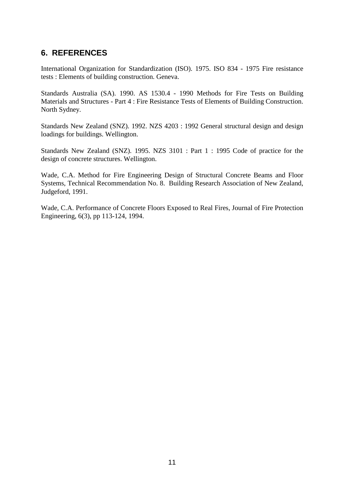## **6. REFERENCES**

International Organization for Standardization (ISO). 1975. ISO 834 - 1975 Fire resistance tests : Elements of building construction. Geneva.

Standards Australia (SA). 1990. AS 1530.4 - 1990 Methods for Fire Tests on Building Materials and Structures - Part 4 : Fire Resistance Tests of Elements of Building Construction. North Sydney.

Standards New Zealand (SNZ). 1992. NZS 4203 : 1992 General structural design and design loadings for buildings. Wellington.

Standards New Zealand (SNZ). 1995. NZS 3101 : Part 1 : 1995 Code of practice for the design of concrete structures. Wellington.

Wade, C.A. Method for Fire Engineering Design of Structural Concrete Beams and Floor Systems, Technical Recommendation No. 8. Building Research Association of New Zealand, Judgeford, 1991.

Wade, C.A. Performance of Concrete Floors Exposed to Real Fires, Journal of Fire Protection Engineering, 6(3), pp 113-124, 1994.